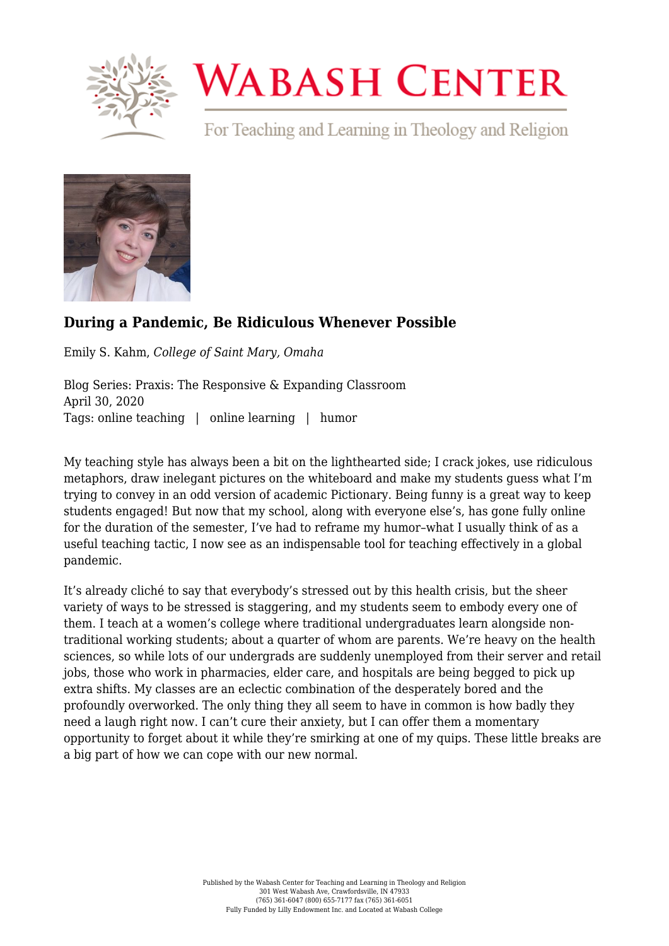

## **WABASH CENTER**

For Teaching and Learning in Theology and Religion



## **[During a Pandemic, Be Ridiculous Whenever Possible](https://www.wabashcenter.wabash.edu/2020/04/during-a-pandemic-be-ridiculous-whenever-possible/)**

Emily S. Kahm, *College of Saint Mary, Omaha*

Blog Series: Praxis: The Responsive & Expanding Classroom April 30, 2020 Tags: online teaching | online learning | humor

My teaching style has always been a bit on the lighthearted side; I crack jokes, use ridiculous metaphors, draw inelegant pictures on the whiteboard and make my students guess what I'm trying to convey in an odd version of academic Pictionary. Being funny is a great way to keep students engaged! But now that my school, along with everyone else's, has gone fully online for the duration of the semester, I've had to reframe my humor–what I usually think of as a useful teaching tactic, I now see as an indispensable tool for teaching effectively in a global pandemic.

It's already cliché to say that everybody's stressed out by this health crisis, but the sheer variety of ways to be stressed is staggering, and my students seem to embody every one of them. I teach at a women's college where traditional undergraduates learn alongside nontraditional working students; about a quarter of whom are parents. We're heavy on the health sciences, so while lots of our undergrads are suddenly unemployed from their server and retail jobs, those who work in pharmacies, elder care, and hospitals are being begged to pick up extra shifts. My classes are an eclectic combination of the desperately bored and the profoundly overworked. The only thing they all seem to have in common is how badly they need a laugh right now. I can't cure their anxiety, but I can offer them a momentary opportunity to forget about it while they're smirking at one of my quips. These little breaks are a big part of how we can cope with our new normal.